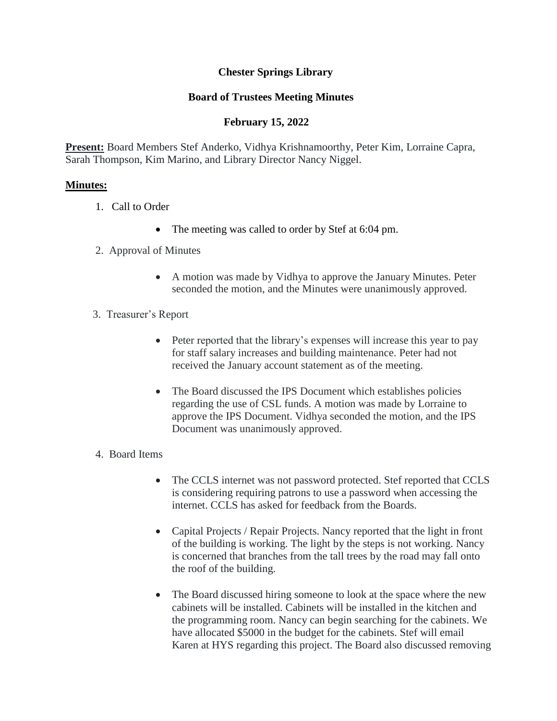# **Chester Springs Library**

# **Board of Trustees Meeting Minutes**

# **February 15, 2022**

**Present:** Board Members Stef Anderko, Vidhya Krishnamoorthy, Peter Kim, Lorraine Capra, Sarah Thompson, Kim Marino, and Library Director Nancy Niggel.

#### **Minutes:**

- 1. Call to Order
	- The meeting was called to order by Stef at 6:04 pm.
- 2. Approval of Minutes
	- A motion was made by Vidhya to approve the January Minutes. Peter seconded the motion, and the Minutes were unanimously approved.
- 3. Treasurer's Report
	- Peter reported that the library's expenses will increase this year to pay for staff salary increases and building maintenance. Peter had not received the January account statement as of the meeting.
	- The Board discussed the IPS Document which establishes policies regarding the use of CSL funds. A motion was made by Lorraine to approve the IPS Document. Vidhya seconded the motion, and the IPS Document was unanimously approved.

# 4. Board Items

- The CCLS internet was not password protected. Stef reported that CCLS is considering requiring patrons to use a password when accessing the internet. CCLS has asked for feedback from the Boards.
- Capital Projects / Repair Projects. Nancy reported that the light in front of the building is working. The light by the steps is not working. Nancy is concerned that branches from the tall trees by the road may fall onto the roof of the building.
- The Board discussed hiring someone to look at the space where the new cabinets will be installed. Cabinets will be installed in the kitchen and the programming room. Nancy can begin searching for the cabinets. We have allocated \$5000 in the budget for the cabinets. Stef will email Karen at HYS regarding this project. The Board also discussed removing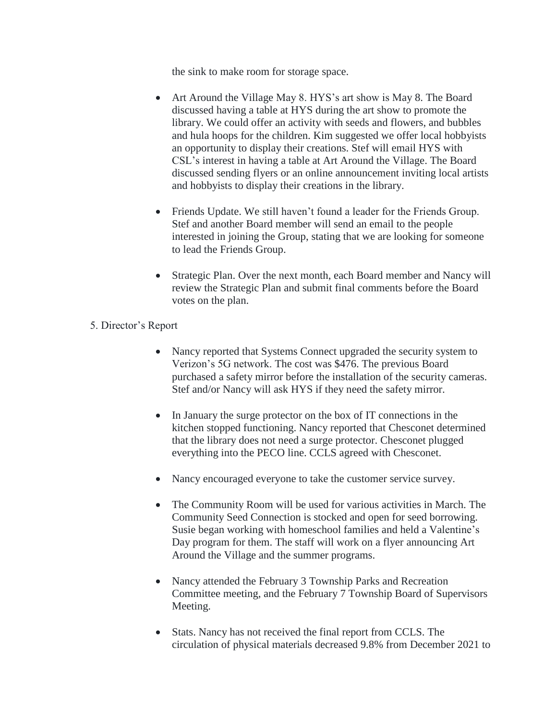the sink to make room for storage space.

- Art Around the Village May 8. HYS's art show is May 8. The Board discussed having a table at HYS during the art show to promote the library. We could offer an activity with seeds and flowers, and bubbles and hula hoops for the children. Kim suggested we offer local hobbyists an opportunity to display their creations. Stef will email HYS with CSL's interest in having a table at Art Around the Village. The Board discussed sending flyers or an online announcement inviting local artists and hobbyists to display their creations in the library.
- Friends Update. We still haven't found a leader for the Friends Group. Stef and another Board member will send an email to the people interested in joining the Group, stating that we are looking for someone to lead the Friends Group.
- Strategic Plan. Over the next month, each Board member and Nancy will review the Strategic Plan and submit final comments before the Board votes on the plan.
- 5. Director's Report
	- Nancy reported that Systems Connect upgraded the security system to Verizon's 5G network. The cost was \$476. The previous Board purchased a safety mirror before the installation of the security cameras. Stef and/or Nancy will ask HYS if they need the safety mirror.
	- In January the surge protector on the box of IT connections in the kitchen stopped functioning. Nancy reported that Chesconet determined that the library does not need a surge protector. Chesconet plugged everything into the PECO line. CCLS agreed with Chesconet.
	- Nancy encouraged everyone to take the customer service survey.
	- The Community Room will be used for various activities in March. The Community Seed Connection is stocked and open for seed borrowing. Susie began working with homeschool families and held a Valentine's Day program for them. The staff will work on a flyer announcing Art Around the Village and the summer programs.
	- Nancy attended the February 3 Township Parks and Recreation Committee meeting, and the February 7 Township Board of Supervisors Meeting.
	- Stats. Nancy has not received the final report from CCLS. The circulation of physical materials decreased 9.8% from December 2021 to